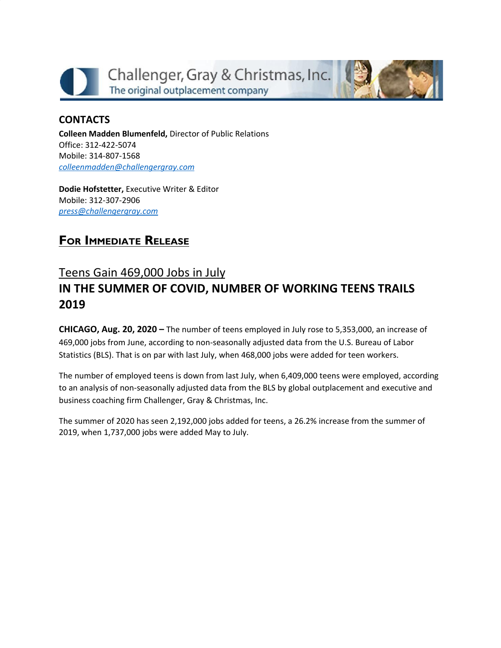



**Colleen Madden Blumenfeld,** Director of Public Relations Office: 312-422-5074 Mobile: 314-807-1568 *[colleenmadden@challengergray.com](mailto:colleenmadden@challengergray.com)*

**Dodie Hofstetter,** Executive Writer & Editor Mobile: 312-307-2906 *[press@challengergray.com](mailto:press@challengergray.com)*

## **FOR IMMEDIATE RELEASE**

## Teens Gain 469,000 Jobs in July **IN THE SUMMER OF COVID, NUMBER OF WORKING TEENS TRAILS 2019**

**CHICAGO, Aug. 20, 2020 –** The number of teens employed in July rose to 5,353,000, an increase of 469,000 jobs from June, according to non-seasonally adjusted data from the U.S. Bureau of Labor Statistics (BLS). That is on par with last July, when 468,000 jobs were added for teen workers.

The number of employed teens is down from last July, when 6,409,000 teens were employed, according to an analysis of non-seasonally adjusted data from the BLS by global outplacement and executive and business coaching firm Challenger, Gray & Christmas, Inc.

The summer of 2020 has seen 2,192,000 jobs added for teens, a 26.2% increase from the summer of 2019, when 1,737,000 jobs were added May to July.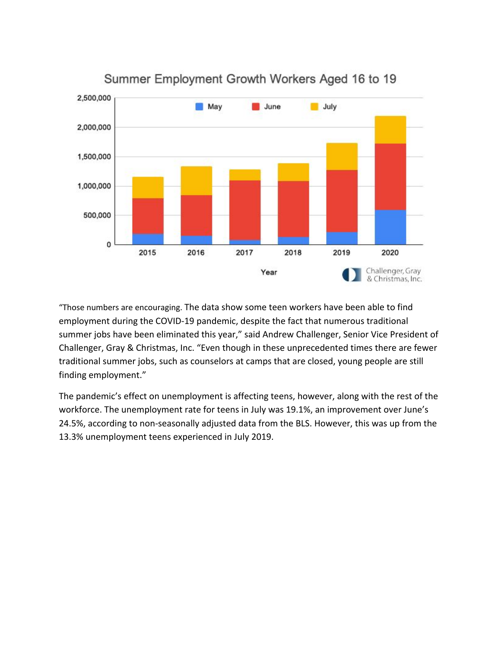

Summer Employment Growth Workers Aged 16 to 19

"Those numbers are encouraging. The data show some teen workers have been able to find employment during the COVID-19 pandemic, despite the fact that numerous traditional summer jobs have been eliminated this year," said Andrew Challenger, Senior Vice President of Challenger, Gray & Christmas, Inc. "Even though in these unprecedented times there are fewer traditional summer jobs, such as counselors at camps that are closed, young people are still finding employment."

The pandemic's effect on unemployment is affecting teens, however, along with the rest of the workforce. The unemployment rate for teens in July was 19.1%, an improvement over June's 24.5%, according to non-seasonally adjusted data from the BLS. However, this was up from the 13.3% unemployment teens experienced in July 2019.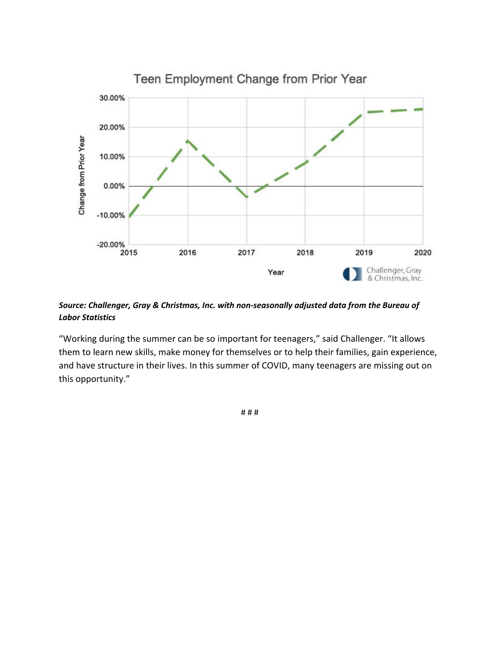

## *Source: Challenger, Gray & Christmas, Inc. with non-seasonally adjusted data from the Bureau of Labor Statistics*

"Working during the summer can be so important for teenagers," said Challenger. "It allows them to learn new skills, make money for themselves or to help their families, gain experience, and have structure in their lives. In this summer of COVID, many teenagers are missing out on this opportunity."

# # #